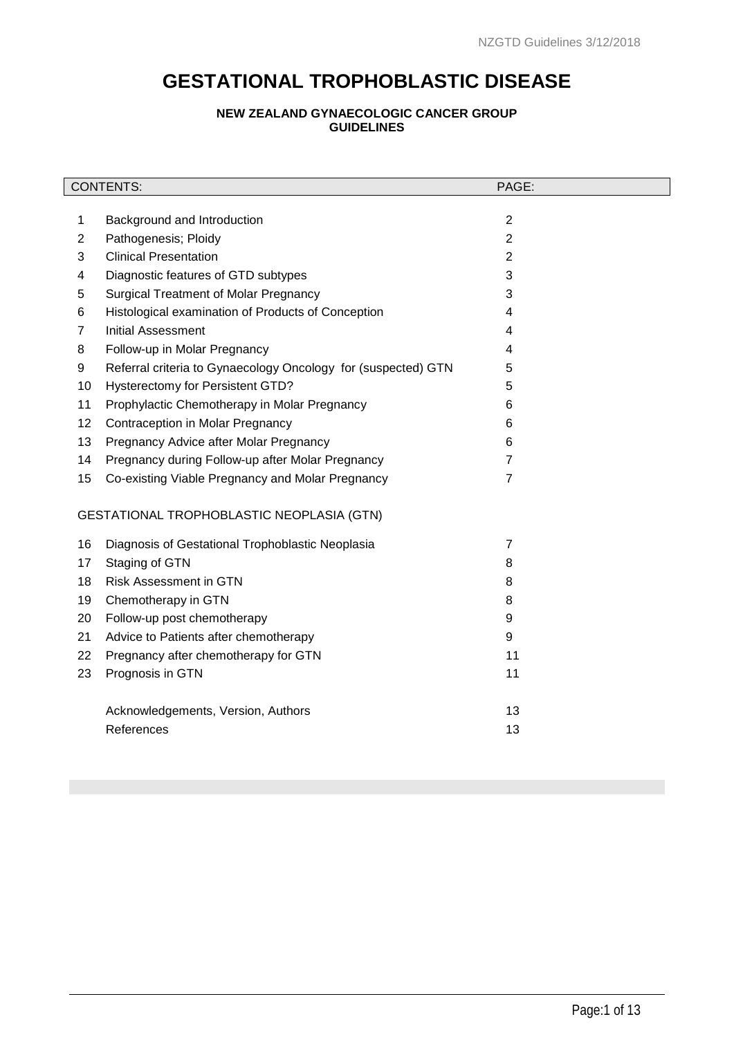# **GESTATIONAL TROPHOBLASTIC DISEASE**

# **NEW ZEALAND GYNAECOLOGIC CANCER GROUP GUIDELINES**

|                                           | <b>CONTENTS:</b>                                              |                |  |  |
|-------------------------------------------|---------------------------------------------------------------|----------------|--|--|
|                                           |                                                               |                |  |  |
| 1                                         | Background and Introduction                                   | $\overline{2}$ |  |  |
| $\overline{2}$                            | Pathogenesis; Ploidy                                          | $\overline{2}$ |  |  |
| 3                                         | <b>Clinical Presentation</b>                                  | $\overline{2}$ |  |  |
| 4                                         | Diagnostic features of GTD subtypes                           | 3              |  |  |
| 5                                         | <b>Surgical Treatment of Molar Pregnancy</b>                  | 3              |  |  |
| 6                                         | Histological examination of Products of Conception            | 4              |  |  |
| $\overline{7}$                            | <b>Initial Assessment</b>                                     | 4              |  |  |
| 8                                         | Follow-up in Molar Pregnancy                                  | 4              |  |  |
| 9                                         | Referral criteria to Gynaecology Oncology for (suspected) GTN | 5              |  |  |
| 10                                        | Hysterectomy for Persistent GTD?                              | 5              |  |  |
| 11                                        | Prophylactic Chemotherapy in Molar Pregnancy                  | 6              |  |  |
| 12                                        | Contraception in Molar Pregnancy                              | 6              |  |  |
| 13                                        | Pregnancy Advice after Molar Pregnancy                        | 6              |  |  |
| 14                                        | Pregnancy during Follow-up after Molar Pregnancy              | $\overline{7}$ |  |  |
| 15                                        | Co-existing Viable Pregnancy and Molar Pregnancy              | $\overline{7}$ |  |  |
| GESTATIONAL TROPHOBLASTIC NEOPLASIA (GTN) |                                                               |                |  |  |
|                                           |                                                               |                |  |  |
| 16                                        | Diagnosis of Gestational Trophoblastic Neoplasia              | $\overline{7}$ |  |  |
| 17                                        | Staging of GTN                                                | 8              |  |  |
| 18                                        | <b>Risk Assessment in GTN</b>                                 | 8              |  |  |
| 19                                        | Chemotherapy in GTN                                           | 8              |  |  |
| 20                                        | Follow-up post chemotherapy                                   | 9              |  |  |
| 21                                        | Advice to Patients after chemotherapy                         | 9              |  |  |
| 22                                        | Pregnancy after chemotherapy for GTN                          | 11             |  |  |
| 23                                        | Prognosis in GTN                                              | 11             |  |  |
|                                           | Acknowledgements, Version, Authors                            | 13             |  |  |
|                                           | References                                                    | 13             |  |  |
|                                           |                                                               |                |  |  |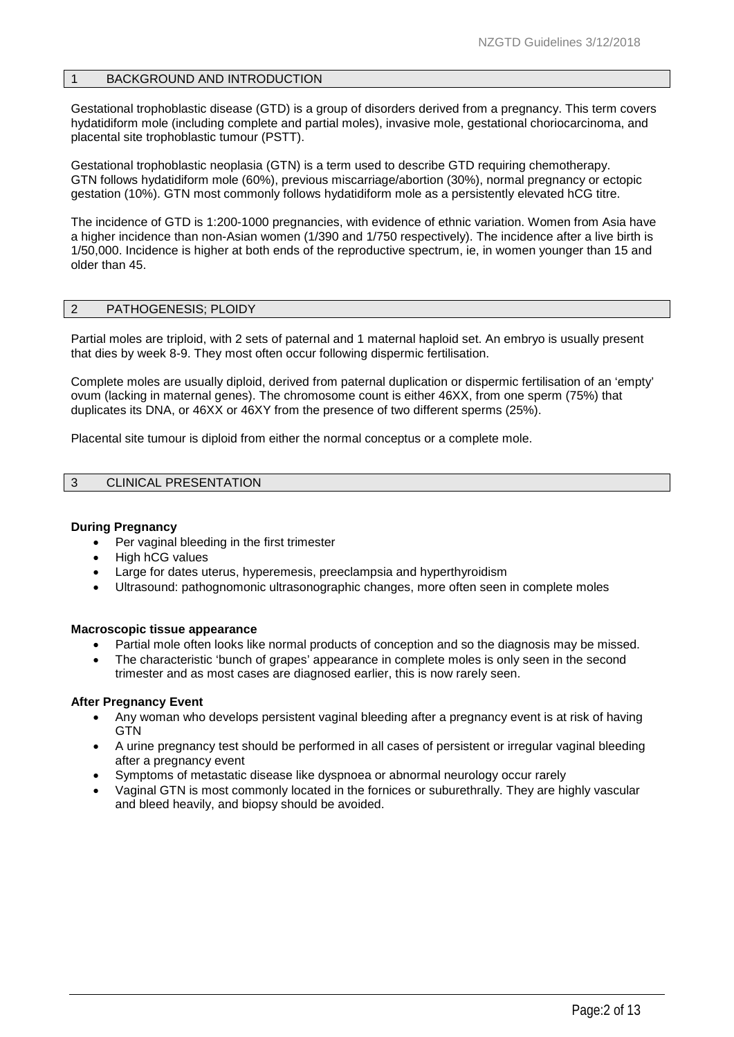#### 1 BACKGROUND AND INTRODUCTION

Gestational trophoblastic disease (GTD) is a group of disorders derived from a pregnancy. This term covers hydatidiform mole (including complete and partial moles), invasive mole, gestational choriocarcinoma, and placental site trophoblastic tumour (PSTT).

Gestational trophoblastic neoplasia (GTN) is a term used to describe GTD requiring chemotherapy. GTN follows hydatidiform mole (60%), previous miscarriage/abortion (30%), normal pregnancy or ectopic gestation (10%). GTN most commonly follows hydatidiform mole as a persistently elevated hCG titre.

The incidence of GTD is 1:200-1000 pregnancies, with evidence of ethnic variation. Women from Asia have a higher incidence than non-Asian women (1/390 and 1/750 respectively). The incidence after a live birth is 1/50,000. Incidence is higher at both ends of the reproductive spectrum, ie, in women younger than 15 and older than 45.

## 2 PATHOGENESIS; PLOIDY

Partial moles are triploid, with 2 sets of paternal and 1 maternal haploid set. An embryo is usually present that dies by week 8-9. They most often occur following dispermic fertilisation.

Complete moles are usually diploid, derived from paternal duplication or dispermic fertilisation of an 'empty' ovum (lacking in maternal genes). The chromosome count is either 46XX, from one sperm (75%) that duplicates its DNA, or 46XX or 46XY from the presence of two different sperms (25%).

Placental site tumour is diploid from either the normal conceptus or a complete mole.

## 3 CLINICAL PRESENTATION

#### **During Pregnancy**

- Per vaginal bleeding in the first trimester
- High hCG values
- Large for dates uterus, hyperemesis, preeclampsia and hyperthyroidism
- Ultrasound: pathognomonic ultrasonographic changes, more often seen in complete moles

#### **Macroscopic tissue appearance**

- Partial mole often looks like normal products of conception and so the diagnosis may be missed.
- The characteristic 'bunch of grapes' appearance in complete moles is only seen in the second trimester and as most cases are diagnosed earlier, this is now rarely seen.

#### **After Pregnancy Event**

- Any woman who develops persistent vaginal bleeding after a pregnancy event is at risk of having **GTN**
- A urine pregnancy test should be performed in all cases of persistent or irregular vaginal bleeding after a pregnancy event
- Symptoms of metastatic disease like dyspnoea or abnormal neurology occur rarely
- Vaginal GTN is most commonly located in the fornices or suburethrally. They are highly vascular and bleed heavily, and biopsy should be avoided.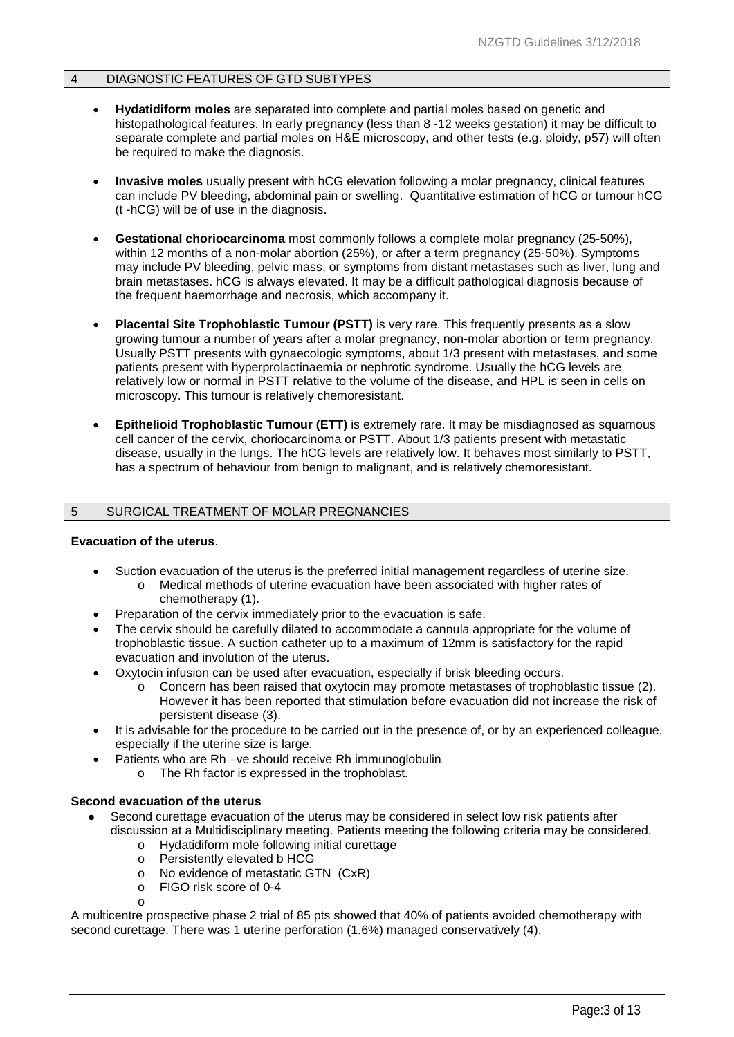## 4 DIAGNOSTIC FEATURES OF GTD SUBTYPES

- **Hydatidiform moles** are separated into complete and partial moles based on genetic and histopathological features. In early pregnancy (less than 8 -12 weeks gestation) it may be difficult to separate complete and partial moles on H&E microscopy, and other tests (e.g. ploidy, p57) will often be required to make the diagnosis.
- **Invasive moles** usually present with hCG elevation following a molar pregnancy, clinical features can include PV bleeding, abdominal pain or swelling. Quantitative estimation of hCG or tumour hCG (t -hCG) will be of use in the diagnosis.
- **Gestational choriocarcinoma** most commonly follows a complete molar pregnancy (25-50%), within 12 months of a non-molar abortion (25%), or after a term pregnancy (25-50%). Symptoms may include PV bleeding, pelvic mass, or symptoms from distant metastases such as liver, lung and brain metastases. hCG is always elevated. It may be a difficult pathological diagnosis because of the frequent haemorrhage and necrosis, which accompany it.
- **Placental Site Trophoblastic Tumour (PSTT)** is very rare. This frequently presents as a slow growing tumour a number of years after a molar pregnancy, non-molar abortion or term pregnancy. Usually PSTT presents with gynaecologic symptoms, about 1/3 present with metastases, and some patients present with hyperprolactinaemia or nephrotic syndrome. Usually the hCG levels are relatively low or normal in PSTT relative to the volume of the disease, and HPL is seen in cells on microscopy. This tumour is relatively chemoresistant.
- **Epithelioid Trophoblastic Tumour (ETT)** is extremely rare. It may be misdiagnosed as squamous cell cancer of the cervix, choriocarcinoma or PSTT. About 1/3 patients present with metastatic disease, usually in the lungs. The hCG levels are relatively low. It behaves most similarly to PSTT, has a spectrum of behaviour from benign to malignant, and is relatively chemoresistant.

## 5 SURGICAL TREATMENT OF MOLAR PREGNANCIES

#### **Evacuation of the uterus**.

- Suction evacuation of the uterus is the preferred initial management regardless of uterine size.
	- o Medical methods of uterine evacuation have been associated with higher rates of chemotherapy [\(1\)](#page-10-0).
- Preparation of the cervix immediately prior to the evacuation is safe.
- The cervix should be carefully dilated to accommodate a cannula appropriate for the volume of trophoblastic tissue. A suction catheter up to a maximum of 12mm is satisfactory for the rapid evacuation and involution of the uterus.
- Oxytocin infusion can be used after evacuation, especially if brisk bleeding occurs.
	- o Concern has been raised that oxytocin may promote metastases of trophoblastic tissue [\(2\)](#page-10-1). However it has been reported that stimulation before evacuation did not increase the risk of persistent disease [\(3\)](#page-10-2).
- It is advisable for the procedure to be carried out in the presence of, or by an experienced colleague, especially if the uterine size is large.
- Patients who are Rh –ve should receive Rh immunoglobulin
	- o The Rh factor is expressed in the trophoblast.

#### **Second evacuation of the uterus**

- Second curettage evacuation of the uterus may be considered in select low risk patients after discussion at a Multidisciplinary meeting. Patients meeting the following criteria may be considered.
	- o Hydatidiform mole following initial curettage
	- o Persistently elevated b HCG
	- o No evidence of metastatic GTN (CxR)
	- o FIGO risk score of 0-4
	- o

A multicentre prospective phase 2 trial of 85 pts showed that 40% of patients avoided chemotherapy with second curettage. There was 1 uterine perforation (1.6%) managed conservatively [\(4\)](#page-10-3).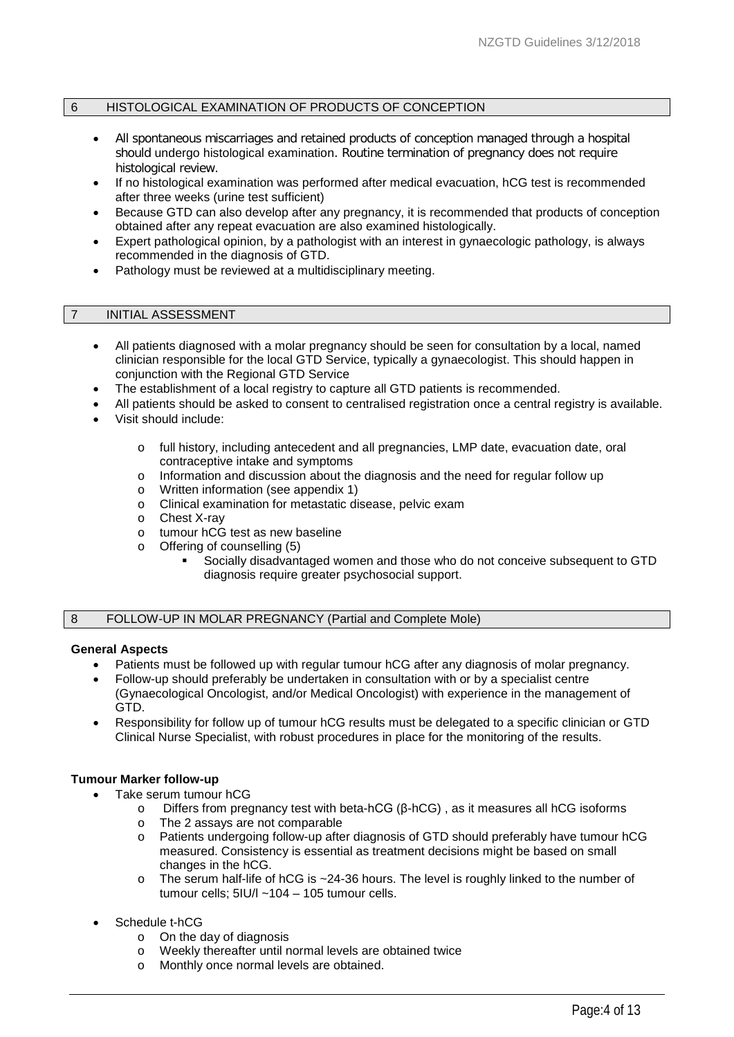## 6 HISTOLOGICAL EXAMINATION OF PRODUCTS OF CONCEPTION

- All spontaneous miscarriages and retained products of conception managed through a hospital should undergo histological examination. Routine termination of pregnancy does not require histological review.
- If no histological examination was performed after medical evacuation, hCG test is recommended after three weeks (urine test sufficient)
- Because GTD can also develop after any pregnancy, it is recommended that products of conception obtained after any repeat evacuation are also examined histologically.
- Expert pathological opinion, by a pathologist with an interest in gynaecologic pathology, is always recommended in the diagnosis of GTD.
- Pathology must be reviewed at a multidisciplinary meeting.

## 7 INITIAL ASSESSMENT

- All patients diagnosed with a molar pregnancy should be seen for consultation by a local, named clinician responsible for the local GTD Service, typically a gynaecologist. This should happen in conjunction with the Regional GTD Service
- The establishment of a local registry to capture all GTD patients is recommended.
- All patients should be asked to consent to centralised registration once a central registry is available.
- Visit should include:
	- o full history, including antecedent and all pregnancies, LMP date, evacuation date, oral contraceptive intake and symptoms
	- o Information and discussion about the diagnosis and the need for regular follow up  $\circ$  Written information (see appendix 1)
	- o Written information (see appendix 1)<br>
	o Clinical examination for metastatic dis
	- Clinical examination for metastatic disease, pelvic exam
	- o Chest X-ray
	- o tumour hCG test as new baseline
	- o Offering of counselling [\(5\)](#page-10-4)
		- Socially disadvantaged women and those who do not conceive subsequent to GTD diagnosis require greater psychosocial support.

#### 8 FOLLOW-UP IN MOLAR PREGNANCY (Partial and Complete Mole)

#### **General Aspects**

- Patients must be followed up with regular tumour hCG after any diagnosis of molar pregnancy.
- Follow-up should preferably be undertaken in consultation with or by a specialist centre (Gynaecological Oncologist, and/or Medical Oncologist) with experience in the management of GTD.
- Responsibility for follow up of tumour hCG results must be delegated to a specific clinician or GTD Clinical Nurse Specialist, with robust procedures in place for the monitoring of the results.

## **Tumour Marker follow-up**

- Take serum tumour hCG
	- Differs from pregnancy test with beta-hCG (β-hCG), as it measures all hCG isoforms
	- o The 2 assays are not comparable<br>
	o Patients undergoing follow-up after Patients undergoing follow-up after diagnosis of GTD should preferably have tumour hCG measured. Consistency is essential as treatment decisions might be based on small changes in the hCG.
	- o The serum half-life of hCG is ~24-36 hours. The level is roughly linked to the number of tumour cells; 5IU/l ~104 – 105 tumour cells.

## Schedule t-hCG

- $\circ$  On the day of diagnosis<br> $\circ$  Weekly thereafter until no
- Weekly thereafter until normal levels are obtained twice
- o Monthly once normal levels are obtained.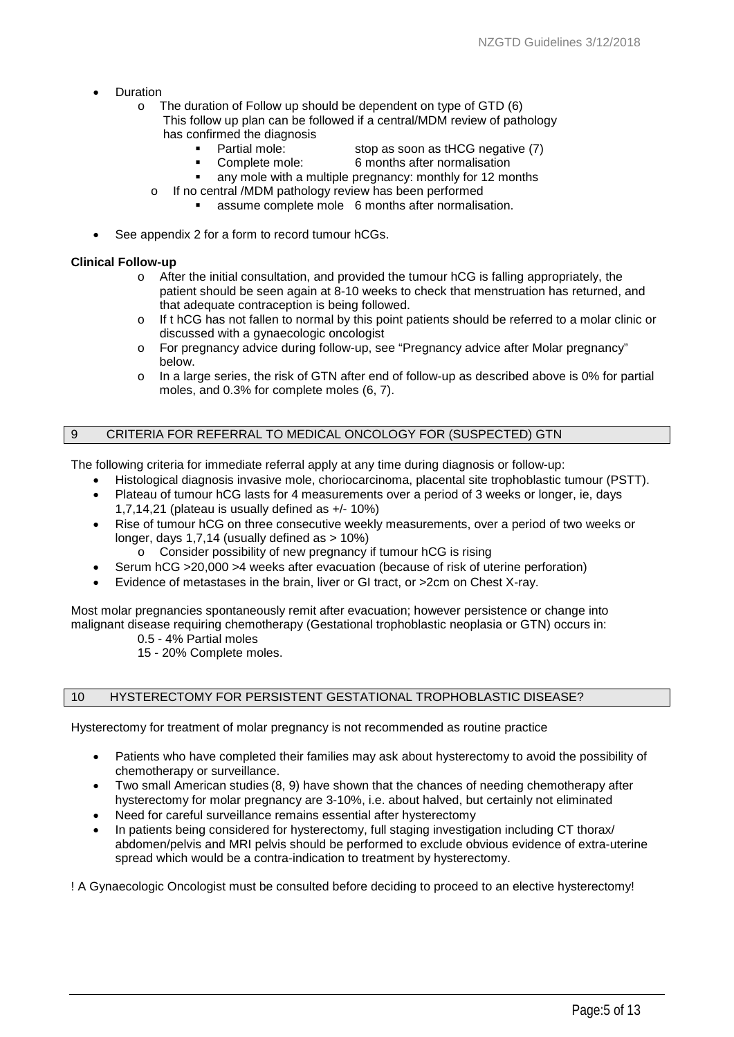- Duration
	- o The duration of Follow up should be dependent on type of GTD [\(6\)](#page-10-5) This follow up plan can be followed if a central/MDM review of pathology has confirmed the diagnosis
		- - Partial mole: stop as soon as tHCG negative [\(7\)](#page-10-6) Complete mole: 6 months after normalisation
			-
		- any mole with a multiple pregnancy: monthly for 12 months
		- o If no central /MDM pathology review has been performed
			- assume complete mole 6 months after normalisation.
- See appendix 2 for a form to record tumour hCGs.

#### **Clinical Follow-up**

- o After the initial consultation, and provided the tumour hCG is falling appropriately, the patient should be seen again at 8-10 weeks to check that menstruation has returned, and that adequate contraception is being followed.
- o If t hCG has not fallen to normal by this point patients should be referred to a molar clinic or discussed with a gynaecologic oncologist
- o For pregnancy advice during follow-up, see "Pregnancy advice after Molar pregnancy" below.
- $\circ$  In a large series, the risk of GTN after end of follow-up as described above is 0% for partial moles, and 0.3% for complete moles [\(6,](#page-10-5) [7\)](#page-10-6).

## 9 CRITERIA FOR REFERRAL TO MEDICAL ONCOLOGY FOR (SUSPECTED) GTN

The following criteria for immediate referral apply at any time during diagnosis or follow-up:

- Histological diagnosis invasive mole, choriocarcinoma, placental site trophoblastic tumour (PSTT).
- Plateau of tumour hCG lasts for 4 measurements over a period of 3 weeks or longer, ie, days 1,7,14,21 (plateau is usually defined as +/- 10%)
- Rise of tumour hCG on three consecutive weekly measurements, over a period of two weeks or longer, days 1,7,14 (usually defined as > 10%)
	- o Consider possibility of new pregnancy if tumour hCG is rising
- Serum hCG >20,000 >4 weeks after evacuation (because of risk of uterine perforation)
- Evidence of metastases in the brain, liver or GI tract, or >2cm on Chest X-ray.

Most molar pregnancies spontaneously remit after evacuation; however persistence or change into malignant disease requiring chemotherapy (Gestational trophoblastic neoplasia or GTN) occurs in:

0.5 - 4% Partial moles

15 - 20% Complete moles.

## 10 HYSTERECTOMY FOR PERSISTENT GESTATIONAL TROPHOBLASTIC DISEASE?

Hysterectomy for treatment of molar pregnancy is not recommended as routine practice

- Patients who have completed their families may ask about hysterectomy to avoid the possibility of chemotherapy or surveillance.
- Two small American studies [\(8,](#page-10-7) [9\)](#page-10-8) have shown that the chances of needing chemotherapy after hysterectomy for molar pregnancy are 3-10%, i.e. about halved, but certainly not eliminated
- Need for careful surveillance remains essential after hysterectomy
- In patients being considered for hysterectomy, full staging investigation including CT thorax/ abdomen/pelvis and MRI pelvis should be performed to exclude obvious evidence of extra-uterine spread which would be a contra-indication to treatment by hysterectomy.

! A Gynaecologic Oncologist must be consulted before deciding to proceed to an elective hysterectomy!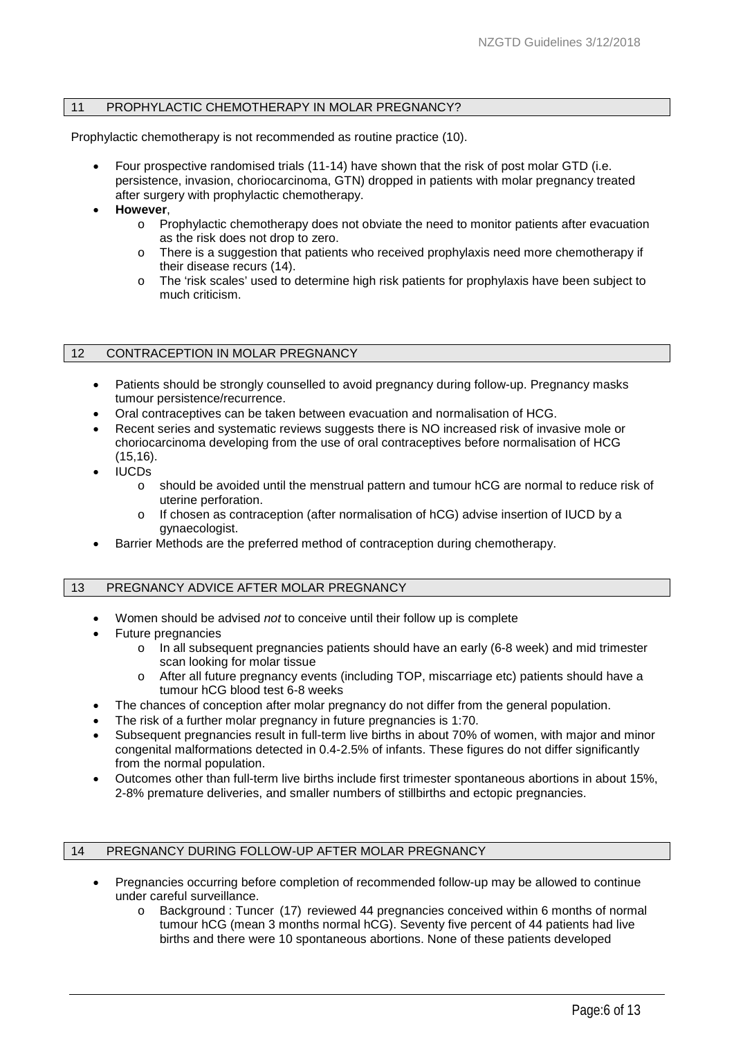## 11 PROPHYLACTIC CHEMOTHERAPY IN MOLAR PREGNANCY?

Prophylactic chemotherapy is not recommended as routine practice [\(10\)](#page-10-9).

- Four prospective randomised trials [\(11-14\)](#page-10-10) have shown that the risk of post molar GTD (i.e. persistence, invasion, choriocarcinoma, GTN) dropped in patients with molar pregnancy treated after surgery with prophylactic chemotherapy.
- **However**,
	- o Prophylactic chemotherapy does not obviate the need to monitor patients after evacuation as the risk does not drop to zero.
	- $\circ$  There is a suggestion that patients who received prophylaxis need more chemotherapy if their disease recurs [\(14\)](#page-11-0).
	- o The 'risk scales' used to determine high risk patients for prophylaxis have been subject to much criticism.

## 12 CONTRACEPTION IN MOLAR PREGNANCY

- Patients should be strongly counselled to avoid pregnancy during follow-up. Pregnancy masks tumour persistence/recurrence.
- Oral contraceptives can be taken between evacuation and normalisation of HCG.
- Recent series and systematic reviews suggests there is NO increased risk of invasive mole or choriocarcinoma developing from the use of oral contraceptives before normalisation of HCG [\(15,](#page-11-1)[16\)](#page-11-2).
- IUCDs
	- o should be avoided until the menstrual pattern and tumour hCG are normal to reduce risk of uterine perforation.
	- o If chosen as contraception (after normalisation of hCG) advise insertion of IUCD by a gynaecologist.
- Barrier Methods are the preferred method of contraception during chemotherapy.

## 13 PREGNANCY ADVICE AFTER MOLAR PREGNANCY

- Women should be advised *not* to conceive until their follow up is complete
- Future pregnancies
	- $\circ$  In all subsequent pregnancies patients should have an early (6-8 week) and mid trimester scan looking for molar tissue
	- o After all future pregnancy events (including TOP, miscarriage etc) patients should have a tumour hCG blood test 6-8 weeks
- The chances of conception after molar pregnancy do not differ from the general population.
- The risk of a further molar pregnancy in future pregnancies is 1:70.
- Subsequent pregnancies result in full-term live births in about 70% of women, with major and minor congenital malformations detected in 0.4-2.5% of infants. These figures do not differ significantly from the normal population.
- Outcomes other than full-term live births include first trimester spontaneous abortions in about 15%, 2-8% premature deliveries, and smaller numbers of stillbirths and ectopic pregnancies.

#### 14 PREGNANCY DURING FOLLOW-UP AFTER MOLAR PREGNANCY

- Pregnancies occurring before completion of recommended follow-up may be allowed to continue under careful surveillance.
	- o Background : Tuncer [\(17\)](#page-11-3) reviewed 44 pregnancies conceived within 6 months of normal tumour hCG (mean 3 months normal hCG). Seventy five percent of 44 patients had live births and there were 10 spontaneous abortions. None of these patients developed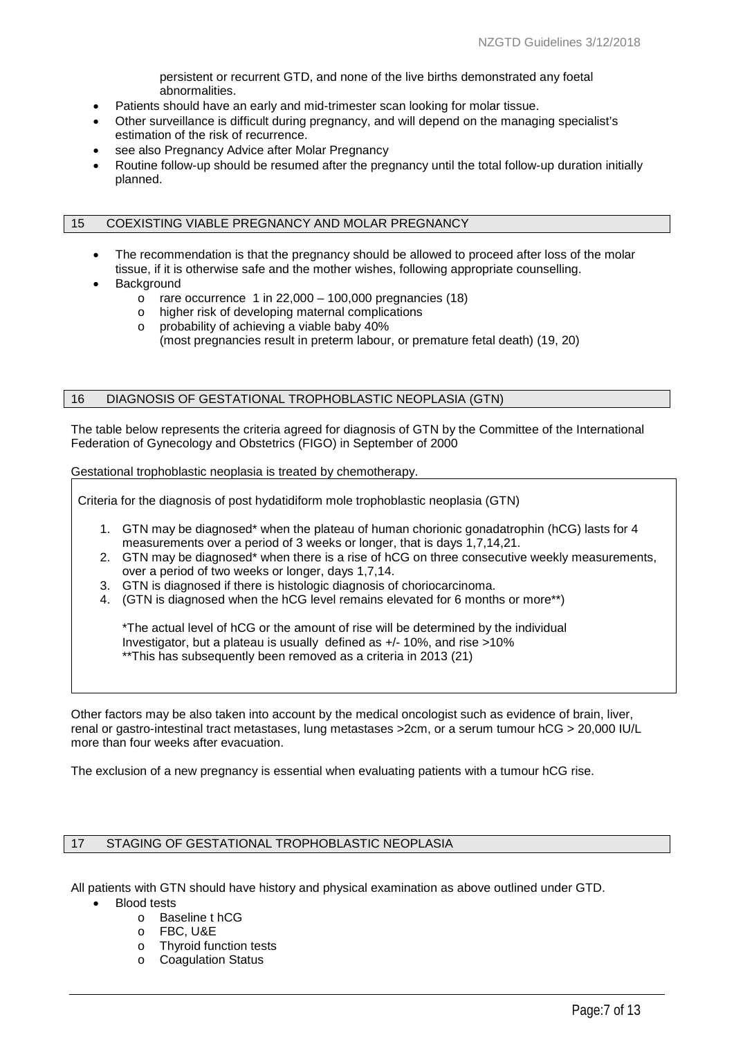persistent or recurrent GTD, and none of the live births demonstrated any foetal abnormalities.

- Patients should have an early and mid-trimester scan looking for molar tissue.
- Other surveillance is difficult during pregnancy, and will depend on the managing specialist's estimation of the risk of recurrence.
- see also Pregnancy Advice after Molar Pregnancy
- Routine follow-up should be resumed after the pregnancy until the total follow-up duration initially planned.

## 15 COEXISTING VIABLE PREGNANCY AND MOLAR PREGNANCY

- The recommendation is that the pregnancy should be allowed to proceed after loss of the molar tissue, if it is otherwise safe and the mother wishes, following appropriate counselling.
- **Background** 
	- $\circ$  rare occurrence 1 in 22,000 100,000 pregnancies [\(18\)](#page-11-4)
	- o higher risk of developing maternal complications
	- o probability of achieving a viable baby 40%
		- (most pregnancies result in preterm labour, or premature fetal death) [\(19,](#page-11-5) [20\)](#page-11-6)

#### 16 DIAGNOSIS OF GESTATIONAL TROPHOBLASTIC NEOPLASIA (GTN)

The table below represents the criteria agreed for diagnosis of GTN by the Committee of the International Federation of Gynecology and Obstetrics (FIGO) in September of 2000

Gestational trophoblastic neoplasia is treated by chemotherapy.

Criteria for the diagnosis of post hydatidiform mole trophoblastic neoplasia (GTN)

- 1. GTN may be diagnosed\* when the plateau of human chorionic gonadatrophin (hCG) lasts for 4 measurements over a period of 3 weeks or longer, that is days 1,7,14,21.
- 2. GTN may be diagnosed\* when there is a rise of hCG on three consecutive weekly measurements, over a period of two weeks or longer, days 1,7,14.
- 3. GTN is diagnosed if there is histologic diagnosis of choriocarcinoma.
- 4. (GTN is diagnosed when the hCG level remains elevated for 6 months or more\*\*)

\*The actual level of hCG or the amount of rise will be determined by the individual Investigator, but a plateau is usually defined as +/- 10%, and rise >10% \*\*This has subsequently been removed as a criteria in 2013 [\(21\)](#page-11-7)

Other factors may be also taken into account by the medical oncologist such as evidence of brain, liver, renal or gastro-intestinal tract metastases, lung metastases >2cm, or a serum tumour hCG > 20,000 IU/L more than four weeks after evacuation.

The exclusion of a new pregnancy is essential when evaluating patients with a tumour hCG rise.

## 17 STAGING OF GESTATIONAL TROPHOBLASTIC NEOPLASIA

All patients with GTN should have history and physical examination as above outlined under GTD. • Blood tests

- o Baseline t hCG
- o FBC, U&E
- o Thyroid function tests<br>
o Coaqulation Status
- **Coagulation Status**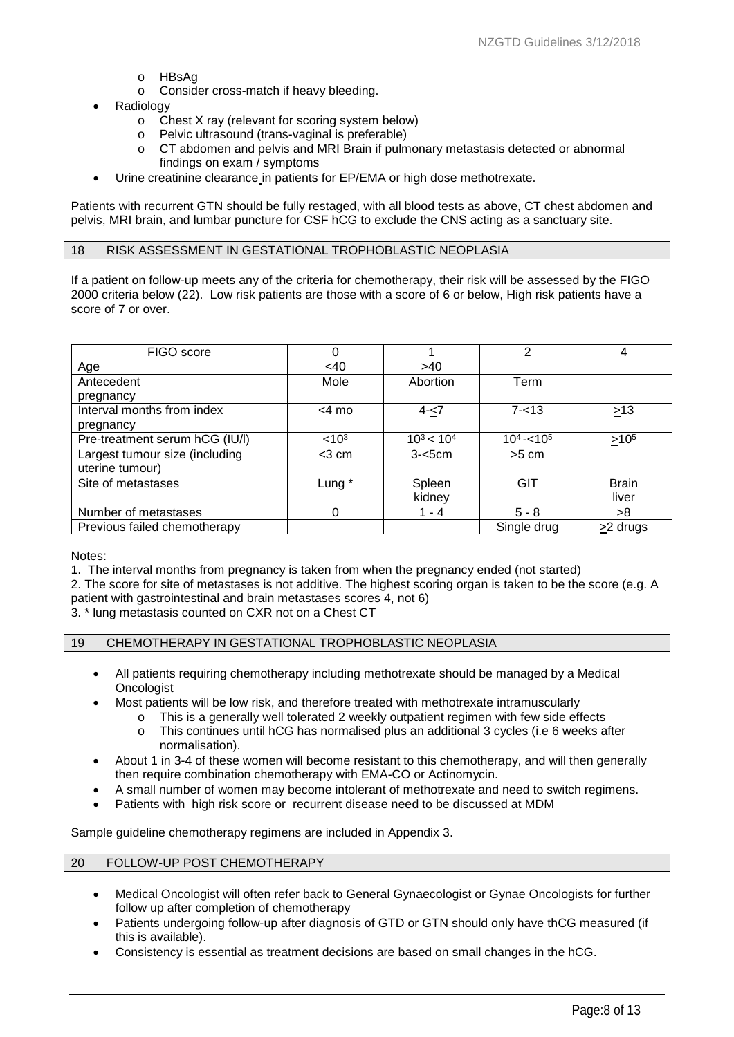- o HBsAg
- o Consider cross-match if heavy bleeding.
- Radiology
	- o Chest X ray (relevant for scoring system below)<br> **O** Pelvic ultrasound (trans-vaginal is preferable)
	- Pelvic ultrasound (trans-vaginal is preferable)
	- o CT abdomen and pelvis and MRI Brain if pulmonary metastasis detected or abnormal findings on exam / symptoms
- Urine creatinine clearance in patients for EP/EMA or high dose methotrexate.

Patients with recurrent GTN should be fully restaged, with all blood tests as above, CT chest abdomen and pelvis, MRI brain, and lumbar puncture for CSF hCG to exclude the CNS acting as a sanctuary site.

#### 18 RISK ASSESSMENT IN GESTATIONAL TROPHOBLASTIC NEOPLASIA

If a patient on follow-up meets any of the criteria for chemotherapy, their risk will be assessed by the FIGO 2000 criteria below [\(22\)](#page-11-8). Low risk patients are those with a score of 6 or below, High risk patients have a score of 7 or over.

| FIGO score                     | 0                 |                 | 2             | 4                   |
|--------------------------------|-------------------|-----------------|---------------|---------------------|
| Age                            | <40               | >40             |               |                     |
| Antecedent                     | Mole              | Abortion        | Term          |                     |
| pregnancy                      |                   |                 |               |                     |
| Interval months from index     | $<$ 4 mo          | $4 - 7$         | $7 - 13$      | $\geq$ 13           |
| pregnancy                      |                   |                 |               |                     |
| Pre-treatment serum hCG (IU/I) | < 10 <sup>3</sup> | $10^3$ < $10^4$ | $10^4 - 10^5$ | $>10^{5}$           |
| Largest tumour size (including | $<$ 3 cm          | $3 - 5$ cm      | $>5$ cm       |                     |
| uterine tumour)                |                   |                 |               |                     |
| Site of metastases             | Lung *            | Spleen          | GIT           | <b>Brain</b>        |
|                                |                   | kidney          |               | liver               |
| Number of metastases           | 0                 | $1 - 4$         | $5 - 8$       | >8                  |
| Previous failed chemotherapy   |                   |                 | Single drug   | <u>&gt;</u> 2 drugs |

Notes:

1. The interval months from pregnancy is taken from when the pregnancy ended (not started)

2. The score for site of metastases is not additive. The highest scoring organ is taken to be the score (e.g. A patient with gastrointestinal and brain metastases scores 4, not 6)

3. \* lung metastasis counted on CXR not on a Chest CT

#### 19 CHEMOTHERAPY IN GESTATIONAL TROPHOBLASTIC NEOPLASIA

- All patients requiring chemotherapy including methotrexate should be managed by a Medical **Oncologist**
- Most patients will be low risk, and therefore treated with methotrexate intramuscularly
	- $\circ$  This is a generally well tolerated 2 weekly outpatient regimen with few side effects  $\circ$  This continues until hCG has normalised plus an additional 3 cycles (i.e 6 weeks a This continues until hCG has normalised plus an additional 3 cycles (i.e 6 weeks after
		- normalisation).
- About 1 in 3-4 of these women will become resistant to this chemotherapy, and will then generally then require combination chemotherapy with EMA-CO or Actinomycin.
- A small number of women may become intolerant of methotrexate and need to switch regimens.
- Patients with high risk score or recurrent disease need to be discussed at MDM

Sample guideline chemotherapy regimens are included in Appendix 3.

#### 20 FOLLOW-UP POST CHEMOTHERAPY

- Medical Oncologist will often refer back to General Gynaecologist or Gynae Oncologists for further follow up after completion of chemotherapy
- Patients undergoing follow-up after diagnosis of GTD or GTN should only have thCG measured (if this is available).
- Consistency is essential as treatment decisions are based on small changes in the hCG.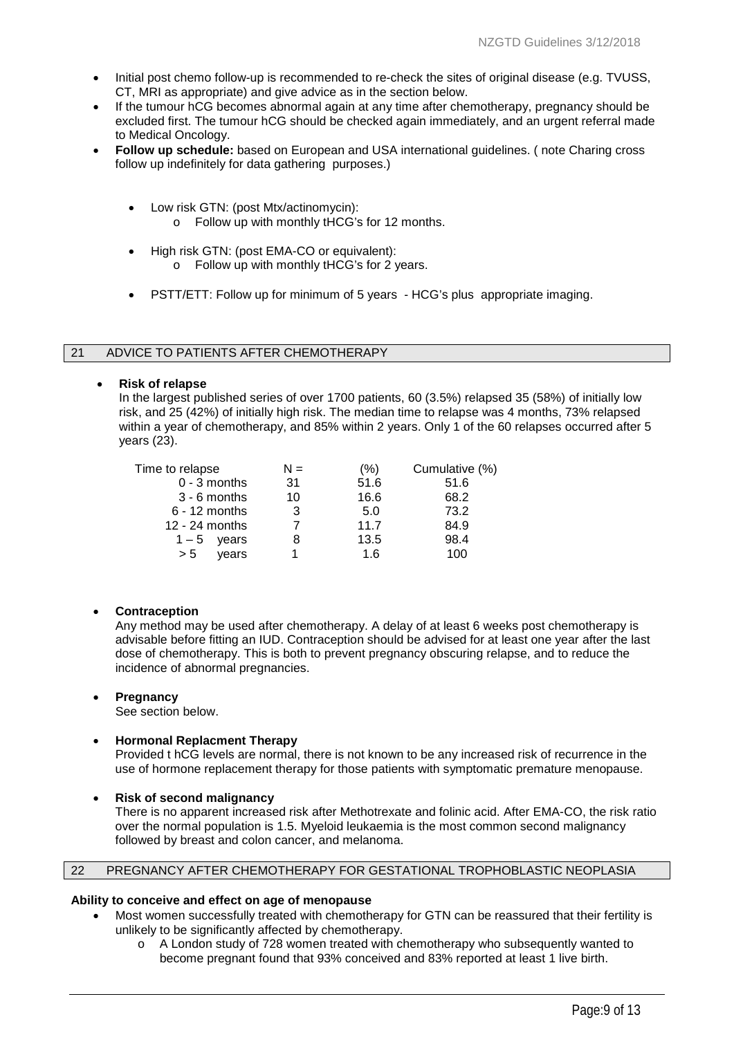- Initial post chemo follow-up is recommended to re-check the sites of original disease (e.g. TVUSS, CT, MRI as appropriate) and give advice as in the section below.
- If the tumour hCG becomes abnormal again at any time after chemotherapy, pregnancy should be excluded first. The tumour hCG should be checked again immediately, and an urgent referral made to Medical Oncology.
- **Follow up schedule:** based on European and USA international guidelines. ( note Charing cross follow up indefinitely for data gathering purposes.)
	- Low risk GTN: (post Mtx/actinomycin):
		- o Follow up with monthly tHCG's for 12 months.
	- High risk GTN: (post EMA-CO or equivalent):
		- o Follow up with monthly tHCG's for 2 years.
	- PSTT/ETT: Follow up for minimum of 5 years HCG's plus appropriate imaging.

## 21 ADVICE TO PATIENTS AFTER CHEMOTHERAPY

• **Risk of relapse**

In the largest published series of over 1700 patients, 60 (3.5%) relapsed 35 (58%) of initially low risk, and 25 (42%) of initially high risk. The median time to relapse was 4 months, 73% relapsed within a year of chemotherapy, and 85% within 2 years. Only 1 of the 60 relapses occurred after 5 years [\(23\)](#page-11-9).

| Time to relapse  | $N =$ | $(\% )$ | Cumulative (%) |
|------------------|-------|---------|----------------|
| $0 - 3$ months   | 31    | 51.6    | 51.6           |
| $3 - 6$ months   | 10    | 16.6    | 68.2           |
| $6 - 12$ months  | 3     | 5.0     | 73.2           |
| 12 - 24 months   |       | 11.7    | 84.9           |
| $1 - 5$<br>vears |       | 13.5    | 98.4           |
| years<br>> 5     |       | 1.6     | 100            |
|                  |       |         |                |

## • **Contraception**

Any method may be used after chemotherapy. A delay of at least 6 weeks post chemotherapy is advisable before fitting an IUD. Contraception should be advised for at least one year after the last dose of chemotherapy. This is both to prevent pregnancy obscuring relapse, and to reduce the incidence of abnormal pregnancies.

## • **Pregnancy**

See section below.

## • **Hormonal Replacment Therapy**

Provided t hCG levels are normal, there is not known to be any increased risk of recurrence in the use of hormone replacement therapy for those patients with symptomatic premature menopause.

• **Risk of second malignancy**

There is no apparent increased risk after Methotrexate and folinic acid. After EMA-CO, the risk ratio over the normal population is 1.5. Myeloid leukaemia is the most common second malignancy followed by breast and colon cancer, and melanoma.

## 22 PREGNANCY AFTER CHEMOTHERAPY FOR GESTATIONAL TROPHOBLASTIC NEOPLASIA

## **Ability to conceive and effect on age of menopause**

- Most women successfully treated with chemotherapy for GTN can be reassured that their fertility is unlikely to be significantly affected by chemotherapy.
	- o A London study of 728 women treated with chemotherapy who subsequently wanted to become pregnant found that 93% conceived and 83% reported at least 1 live birth.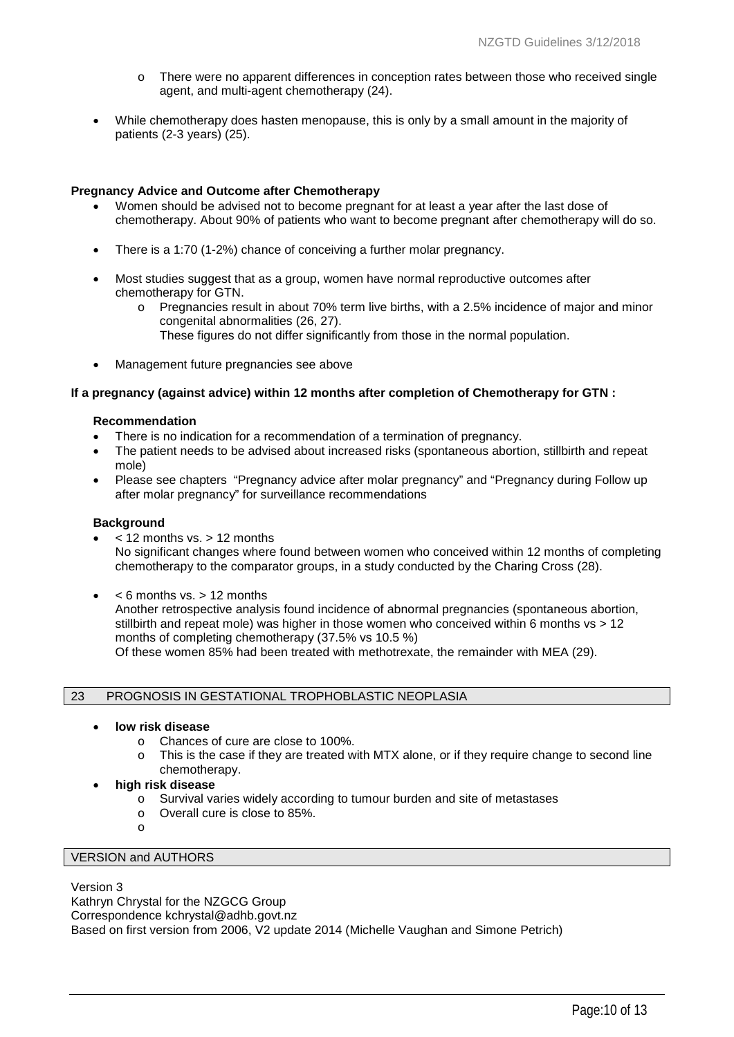- o There were no apparent differences in conception rates between those who received single agent, and multi-agent chemotherapy [\(24\)](#page-11-10).
- While chemotherapy does hasten menopause, this is only by a small amount in the majority of patients (2-3 years) [\(25\)](#page-11-11).

## **Pregnancy Advice and Outcome after Chemotherapy**

- Women should be advised not to become pregnant for at least a year after the last dose of chemotherapy. About 90% of patients who want to become pregnant after chemotherapy will do so.
- There is a 1:70 (1-2%) chance of conceiving a further molar pregnancy.
- Most studies suggest that as a group, women have normal reproductive outcomes after chemotherapy for GTN.
	- o Pregnancies result in about 70% term live births, with a 2.5% incidence of major and minor congenital abnormalities [\(26,](#page-11-12) [27\)](#page-11-13).
	- These figures do not differ significantly from those in the normal population.
- Management future pregnancies see above

#### **If a pregnancy (against advice) within 12 months after completion of Chemotherapy for GTN :**

#### **Recommendation**

- There is no indication for a recommendation of a termination of pregnancy.
- The patient needs to be advised about increased risks (spontaneous abortion, stillbirth and repeat mole)
- Please see chapters "Pregnancy advice after molar pregnancy" and "Pregnancy during Follow up after molar pregnancy" for surveillance recommendations

#### **Background**

- < 12 months vs. > 12 months No significant changes where found between women who conceived within 12 months of completing chemotherapy to the comparator groups, in a study conducted by the Charing Cross [\(28\)](#page-11-14).
- $\bullet \quad$  < 6 months vs. > 12 months

Another retrospective analysis found incidence of abnormal pregnancies (spontaneous abortion, stillbirth and repeat mole) was higher in those women who conceived within 6 months vs > 12 months of completing chemotherapy (37.5% vs 10.5 %) Of these women 85% had been treated with methotrexate, the remainder with MEA [\(29\)](#page-11-15).

## 23 PROGNOSIS IN GESTATIONAL TROPHOBLASTIC NEOPLASIA

- **low risk disease**
	- o Chances of cure are close to 100%.
	- o This is the case if they are treated with MTX alone, or if they require change to second line chemotherapy.
- **high risk disease** 
	- o Survival varies widely according to tumour burden and site of metastases
	- o Overall cure is close to 85%.
	- o

# VERSION and AUTHORS

Version 3

Kathryn Chrystal for the NZGCG Group

Correspondence kchrystal@adhb.govt.nz

Based on first version from 2006, V2 update 2014 (Michelle Vaughan and Simone Petrich)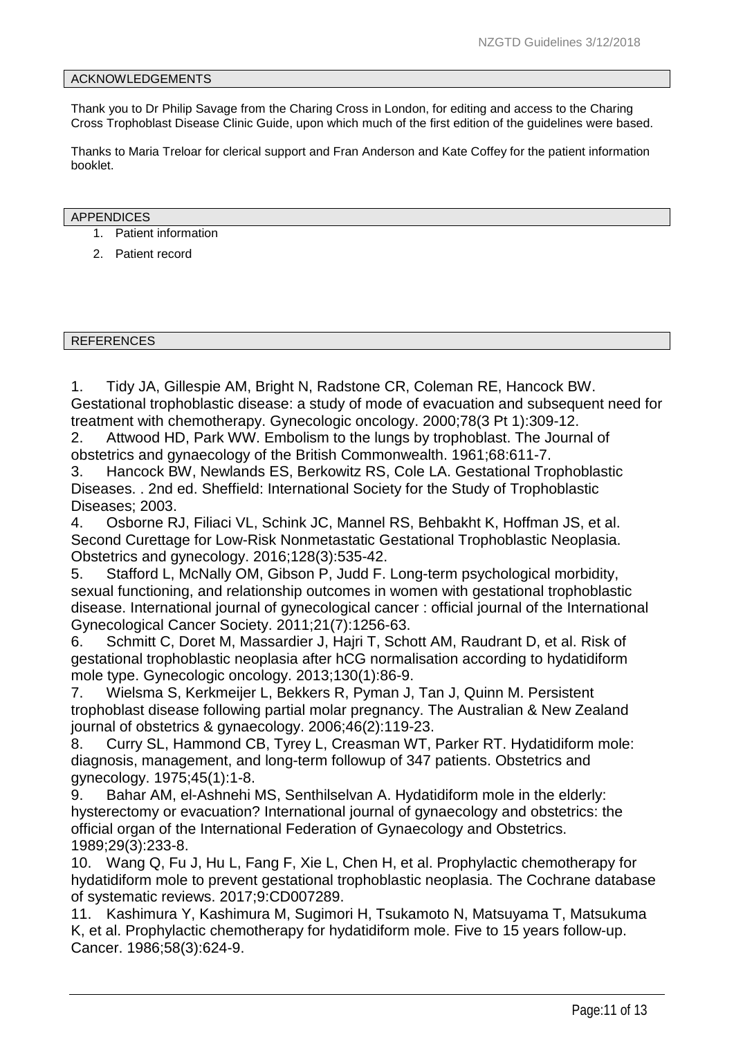#### ACKNOWLEDGEMENTS

Thank you to Dr Philip Savage from the Charing Cross in London, for editing and access to the Charing Cross Trophoblast Disease Clinic Guide, upon which much of the first edition of the guidelines were based.

Thanks to Maria Treloar for clerical support and Fran Anderson and Kate Coffey for the patient information booklet.

#### APPENDICES

- 1. Patient information
- 2. Patient record

REFERENCES

<span id="page-10-0"></span>1. Tidy JA, Gillespie AM, Bright N, Radstone CR, Coleman RE, Hancock BW. Gestational trophoblastic disease: a study of mode of evacuation and subsequent need for treatment with chemotherapy. Gynecologic oncology. 2000;78(3 Pt 1):309-12.

<span id="page-10-1"></span>2. Attwood HD, Park WW. Embolism to the lungs by trophoblast. The Journal of obstetrics and gynaecology of the British Commonwealth. 1961;68:611-7.

<span id="page-10-2"></span>3. Hancock BW, Newlands ES, Berkowitz RS, Cole LA. Gestational Trophoblastic Diseases. . 2nd ed. Sheffield: International Society for the Study of Trophoblastic Diseases; 2003.

<span id="page-10-3"></span>4. Osborne RJ, Filiaci VL, Schink JC, Mannel RS, Behbakht K, Hoffman JS, et al. Second Curettage for Low-Risk Nonmetastatic Gestational Trophoblastic Neoplasia. Obstetrics and gynecology. 2016;128(3):535-42.

<span id="page-10-4"></span>5. Stafford L, McNally OM, Gibson P, Judd F. Long-term psychological morbidity, sexual functioning, and relationship outcomes in women with gestational trophoblastic disease. International journal of gynecological cancer : official journal of the International Gynecological Cancer Society. 2011;21(7):1256-63.

<span id="page-10-5"></span>6. Schmitt C, Doret M, Massardier J, Hajri T, Schott AM, Raudrant D, et al. Risk of gestational trophoblastic neoplasia after hCG normalisation according to hydatidiform mole type. Gynecologic oncology. 2013;130(1):86-9.

<span id="page-10-6"></span>7. Wielsma S, Kerkmeijer L, Bekkers R, Pyman J, Tan J, Quinn M. Persistent trophoblast disease following partial molar pregnancy. The Australian & New Zealand journal of obstetrics & gynaecology. 2006;46(2):119-23.

<span id="page-10-7"></span>8. Curry SL, Hammond CB, Tyrey L, Creasman WT, Parker RT. Hydatidiform mole: diagnosis, management, and long-term followup of 347 patients. Obstetrics and gynecology. 1975;45(1):1-8.

<span id="page-10-8"></span>9. Bahar AM, el-Ashnehi MS, Senthilselvan A. Hydatidiform mole in the elderly: hysterectomy or evacuation? International journal of gynaecology and obstetrics: the official organ of the International Federation of Gynaecology and Obstetrics. 1989;29(3):233-8.

<span id="page-10-9"></span>10. Wang Q, Fu J, Hu L, Fang F, Xie L, Chen H, et al. Prophylactic chemotherapy for hydatidiform mole to prevent gestational trophoblastic neoplasia. The Cochrane database of systematic reviews. 2017;9:CD007289.

<span id="page-10-10"></span>11. Kashimura Y, Kashimura M, Sugimori H, Tsukamoto N, Matsuyama T, Matsukuma K, et al. Prophylactic chemotherapy for hydatidiform mole. Five to 15 years follow-up. Cancer. 1986;58(3):624-9.